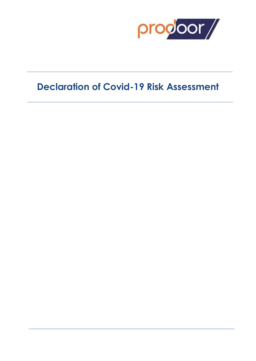

# **Declaration of Covid-19 Risk Assessment**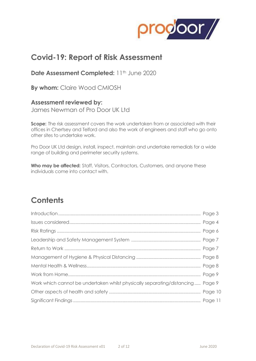

## **Covid-19: Report of Risk Assessment**

**Date Assessment Completed:** 11<sup>th</sup> June 2020

**By whom:** Claire Wood CMIOSH

**Assessment reviewed by:**

James Newman of Pro Door UK Ltd

**Scope:** The risk assessment covers the work undertaken from or associated with their offices in Chertsey and Telford and also the work of engineers and staff who go onto other sites to undertake work.

Pro Door UK Ltd design, install, inspect, maintain and undertake remedials for a wide range of building and perimeter security systems.

**Who may be affected:** Staff, Visitors, Contractors, Customers, and anyone these individuals come into contact with.

## **Contents**

| Work which cannot be undertaken whilst physically separating/distancing Page 9 |  |
|--------------------------------------------------------------------------------|--|
|                                                                                |  |
|                                                                                |  |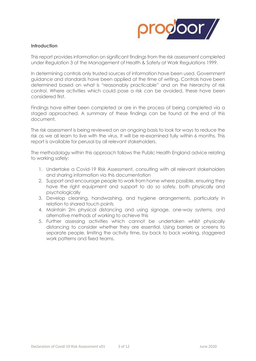

### **Introduction**

This report provides information on significant findings from the risk assessment completed under Regulation 3 of the Management of Health & Safety at Work Regulations 1999.

In determining controls only trusted sources of information have been used. Government guidance and standards have been applied at the time of writing. Controls have been determined based on what is "reasonably practicable" and on the hierarchy of risk control. Where activities which could pose a risk can be avoided, these have been considered first.

Findings have either been completed or are in the process of being completed via a staged approached. A summary of these findings can be found at the end of this document.

The risk assessment is being reviewed on an ongoing basis to look for ways to reduce the risk as we all learn to live with the virus. It will be re-examined fully within 6 months. This report is available for perusal by all relevant stakeholders.

The methodology within this approach follows the Public Health England advice relating to working safely:

- 1. Undertake a Covid-19 Risk Assessment, consulting with all relevant stakeholders and sharing information via this documentation
- 2. Support and encourage people to work from home where possible, ensuring they have the right equipment and support to do so safely, both physically and psychologically
- 3. Develop cleaning, handwashing, and hygiene arrangements, particularly in relation to shared touch points
- 4. Maintain 2m physical distancing and using signage, one-way systems, and alternative methods of working to achieve this
- 5. Further assessing activities which cannot be undertaken whilst physically distancing to consider whether they are essential. Using barriers or screens to separate people, limiting the activity time, by back to back working, staggered work patterns and fixed teams.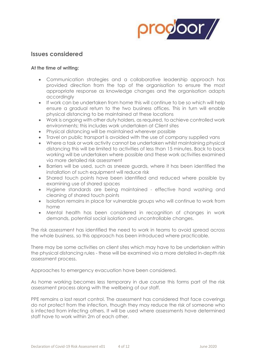

### **Issues considered**

### **At the time of writing:**

- Communication strategies and a collaborative leadership approach has provided direction from the top of the organisation to ensure the most appropriate response as knowledge changes and the organisation adapts accordingly
- If work can be undertaken from home this will continue to be so which will help ensure a gradual return to the two business offices. This in turn will enable physical distancing to be maintained at these locations
- Work is ongoing with other duty holders, as required, to achieve controlled work environments; this includes work undertaken at Client sites
- Physical distancing will be maintained wherever possible
- Travel on public transport is avoided with the use of company supplied vans
- Where a task or work activity cannot be undertaken whilst maintaining physical distancing this will be limited to activities of less than 15 minutes. Back to back working will be undertaken where possible and these work activities examined via more detailed risk assessment
- Barriers will be used, such as sneeze guards, where it has been identified the installation of such equipment will reduce risk
- Shared touch points have been identified and reduced where possible by examining use of shared spaces
- Hygiene standards are being maintained effective hand washing and cleaning of shared touch points
- Isolation remains in place for vulnerable groups who will continue to work from home
- Mental health has been considered in recognition of changes in work demands, potential social isolation and uncontrollable changes.

The risk assessment has identified the need to work in teams to avoid spread across the whole business, so this approach has been introduced where practicable.

There may be some activities on client sites which may have to be undertaken within the physical distancing rules - these will be examined via a more detailed in-depth risk assessment process.

Approaches to emergency evacuation have been considered.

As home working becomes less temporary in due course this forms part of the risk assessment process along with the wellbeing of our staff.

PPE remains a last resort control. The assessment has considered that face coverings do not protect from the infection, though they may reduce the risk of someone who is infected from infecting others. It will be used where assessments have determined staff have to work within 2m of each other.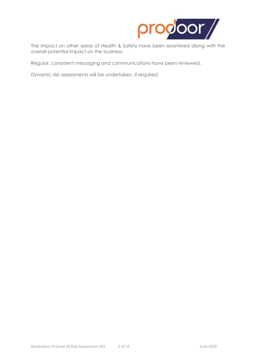

The impact on other areas of Health & Safety have been examined along with the overall potential impact on the business.

Regular, consistent messaging and communications have been reviewed.

Dynamic risk assessments will be undertaken, if required.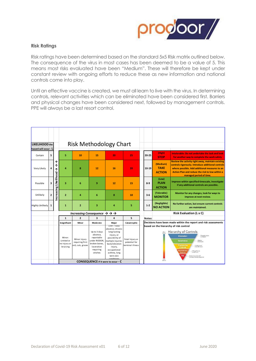

### **Risk Ratings**

Risk ratings have been determined based on the standard 5x5 Risk matrix outlined below. The consequence of the virus in most cases has been deemed to be a value of 5. This means most risks evaluated have been "Medium". These will therefore be kept under constant review with ongoing efforts to reduce these as new information and national controls come into play.

Until an effective vaccine is created, we must all learn to live with the virus. In determining controls, relevant activities which can be eliminated have been considered first. Barriers and physical changes have been considered next, followed by management controls. PPE will always be a last resort control.

| LIKELIHOOD the         |                |                                            |                                                              |                                                      |                                                                                                                 | <b>Risk Methodology Chart</b>                                                                                                                                                  |                                                      |  |                                                                                                                                                                                                                                                                                                                                                            |                                                                 |                                                                                                                                                                                                                                               |  |
|------------------------|----------------|--------------------------------------------|--------------------------------------------------------------|------------------------------------------------------|-----------------------------------------------------------------------------------------------------------------|--------------------------------------------------------------------------------------------------------------------------------------------------------------------------------|------------------------------------------------------|--|------------------------------------------------------------------------------------------------------------------------------------------------------------------------------------------------------------------------------------------------------------------------------------------------------------------------------------------------------------|-----------------------------------------------------------------|-----------------------------------------------------------------------------------------------------------------------------------------------------------------------------------------------------------------------------------------------|--|
| hazard will occur - L  |                |                                            |                                                              |                                                      |                                                                                                                 |                                                                                                                                                                                |                                                      |  |                                                                                                                                                                                                                                                                                                                                                            |                                                                 |                                                                                                                                                                                                                                               |  |
| Certain                | 5              |                                            | 5                                                            | 10                                                   | 15                                                                                                              | 20                                                                                                                                                                             | 25                                                   |  | 20-25                                                                                                                                                                                                                                                                                                                                                      | (High)<br><b>STOP</b>                                           | Intolerable: Do not undertake the task and look<br>for another way to complete the work safely                                                                                                                                                |  |
| Very Likely            | 4              | ↑<br>Ϯ<br>↑                                | 4                                                            | 8                                                    | 12                                                                                                              | 16                                                                                                                                                                             | 20                                                   |  | 10-19                                                                                                                                                                                                                                                                                                                                                      | (Medium)<br><b>TAKE</b><br><b>ACTION</b>                        | Review the activity right away, maintain existing<br>controls rigorously. Introduce additional controls<br>where possible. Add additional measures to an<br><b>Action Plan and reduce the risk to low within a</b><br>managed period of time. |  |
| Possible               | 3              | Likelihood                                 | 3                                                            | 6                                                    | 9                                                                                                               | 12                                                                                                                                                                             | 15                                                   |  | $8 - 9$                                                                                                                                                                                                                                                                                                                                                    | (Low)<br><b>PLAN</b><br><b>ACTION</b>                           | Improve within specified timescale, investigate<br>if any additional controls are possible.                                                                                                                                                   |  |
| Unlikely               | $\overline{2}$ | ncreasing                                  | $\overline{2}$                                               | 4                                                    | 6                                                                                                               | 8                                                                                                                                                                              | 10                                                   |  | $3 - 6$                                                                                                                                                                                                                                                                                                                                                    | (Tolerable)<br><b>MONITOR</b>                                   | Monitor for any changes, look for ways to<br>improve at next review.                                                                                                                                                                          |  |
| <b>Highly Unlikely</b> | 1              |                                            | $\mathbf{1}$                                                 | $\overline{2}$                                       | 3                                                                                                               | 4                                                                                                                                                                              | 5                                                    |  | $1 - 2$                                                                                                                                                                                                                                                                                                                                                    | (Negligible)<br><b>NO ACTION</b>                                | No further action, but ensure current controls<br>are maintained.                                                                                                                                                                             |  |
|                        |                |                                            | Increasing Consequence $\rightarrow \rightarrow \rightarrow$ |                                                      |                                                                                                                 |                                                                                                                                                                                |                                                      |  |                                                                                                                                                                                                                                                                                                                                                            |                                                                 | <b>Risk Evaluation (L x C)</b>                                                                                                                                                                                                                |  |
|                        |                |                                            | $\mathbf{1}$                                                 | $\overline{2}$                                       | 3                                                                                                               | 4                                                                                                                                                                              | 5                                                    |  | Notes:                                                                                                                                                                                                                                                                                                                                                     |                                                                 |                                                                                                                                                                                                                                               |  |
|                        |                |                                            | Insignificant                                                | Minor                                                | Moderate                                                                                                        | Major                                                                                                                                                                          | Catastrophic                                         |  |                                                                                                                                                                                                                                                                                                                                                            | Decisions have been made within the report and risk assessments |                                                                                                                                                                                                                                               |  |
|                        |                |                                            | Minor:<br>Limited or<br>no injury or<br>bruising             | Minor injury<br>requiring first<br>aid, cuts, grazes | Up to 3 days<br>absence.<br>reportable<br>under RIDDOR.<br>broken bones,<br>laceration<br>requiring<br>stitches | Over 7 days<br>absence, chronic<br>long-lasting<br>injury, or<br>possibility of<br>multiple injuries<br>back/vibration<br>injury,<br>occupational<br>asthma, long<br>term skin | Fatal Injury or<br>potential for<br>terminal illness |  | based on the hierarchy of risk control<br>Hierarchy of Controls<br><b>Elimination</b><br>volcally nerrow<br>the hannel.<br>Substitution<br>Replace<br>the history<br>Engineering<br>holde people<br>om the hazzed<br><b>Controls</b><br>dministrativ<br>Change the way<br>pacple work<br>Controls<br>obact the worker with<br>rrsonal Protective Equipment |                                                                 |                                                                                                                                                                                                                                               |  |
|                        |                | <b>CONSEQUENCE</b> if it were to occur - C |                                                              |                                                      |                                                                                                                 |                                                                                                                                                                                |                                                      |  |                                                                                                                                                                                                                                                                                                                                                            |                                                                 |                                                                                                                                                                                                                                               |  |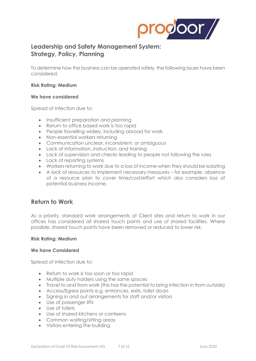

### **Leadership and Safety Management System: Strategy, Policy, Planning**

To determine how the business can be operated safely, the following issues have been considered.

### **Risk Rating: Medium**

#### **We have considered**

Spread of Infection due to:

- Insufficient preparation and planning
- Return to office based work is too rapid
- People travelling widely, including abroad for work
- Non-essential workers returning
- Communication unclear, inconsistent, or ambiguous
- Lack of information, instruction, and training
- Lack of supervision and checks leading to people not following the rules
- Lack of reporting systems
- Workers returning to work due to a loss of income when they should be isolating
- A lack of resources to implement necessary measures for example, absence of a resource plan to cover time/cost/effort which also considers loss of potential business income.

### **Return to Work**

As a priority, standard work arrangements at Client sites and return to work in our offices has considered all shared touch points and use of shared facilities. Where possible, shared touch points have been removed or reduced to lower risk.

### **Risk Rating: Medium**

#### **We have Considered**

Spread of Infection due to:

- Return to work is too soon or too rapid
- Multiple duty holders using the same spaces
- Travel to and from work (this has the potential to bring infection in from outside)
- Access/Egress points e.g. entrances, exits, toilet doors
- Signing in and out arrangements for staff and/or visitors
- Use of passenger lifts
- Use of toilets
- Use of shared kitchens or canteens
- Common waiting/sitting areas
- Visitors entering the building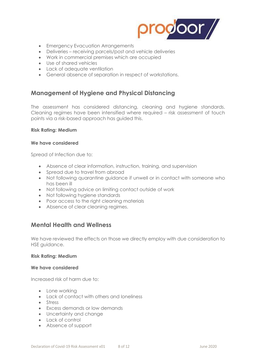

- Emergency Evacuation Arrangements
- Deliveries receiving parcels/post and vehicle deliveries
- Work in commercial premises which are occupied
- Use of shared vehicles
- Lack of adeauate ventilation
- General absence of separation in respect of workstations.

### **Management of Hygiene and Physical Distancing**

The assessment has considered distancing, cleaning and hygiene standards. Cleaning regimes have been intensified where required – risk assessment of touch points via a risk-based approach has guided this.

### **Risk Rating: Medium**

#### **We have considered**

Spread of Infection due to:

- Absence of clear information, instruction, training, and supervision
- Spread due to travel from abroad
- Not following quarantine guidance if unwell or in contact with someone who has been ill
- Not following advice on limiting contact outside of work
- Not following hygiene standards
- Poor access to the right cleaning materials
- Absence of clear cleaning regimes.

### **Mental Health and Wellness**

We have reviewed the effects on those we directly employ with due consideration to HSE guidance.

#### **Risk Rating: Medium**

#### **We have considered**

Increased risk of harm due to:

- Lone working
- Lack of contact with others and loneliness
- Stress
- Excess demands or low demands
- Uncertainty and change
- Lack of control
- Absence of support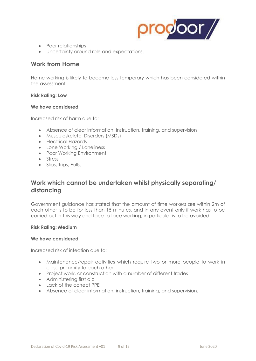

- Poor relationships
- Uncertainty around role and expectations.

### **Work from Home**

Home working is likely to become less temporary which has been considered within the assessment.

### **Risk Rating: Low**

### **We have considered**

Increased risk of harm due to:

- Absence of clear information, instruction, training, and supervision
- Musculoskeletal Disorders (MSDs)
- Electrical Hazards
- Lone Working / Loneliness
- Poor Working Environment
- Stress
- Slips, Trips, Falls.

### **Work which cannot be undertaken whilst physically separating/ distancing**

Government guidance has stated that the amount of time workers are within 2m of each other is to be for less than 15 minutes, and in any event only if work has to be carried out in this way and face to face working, in particular is to be avoided.

### **Risk Rating: Medium**

### **We have considered**

Increased risk of infection due to:

- Maintenance/repair activities which require two or more people to work in close proximity to each other
- Project work, or construction with a number of different trades
- Administering first aid
- Lack of the correct PPE
- Absence of clear information, instruction, training, and supervision.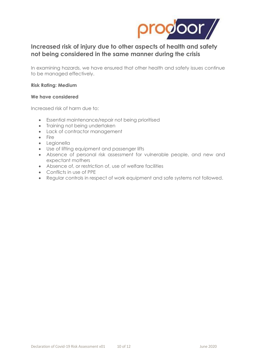

### **Increased risk of injury due to other aspects of health and safety not being considered in the same manner during the crisis**

In examining hazards, we have ensured that other health and safety issues continue to be managed effectively.

### **Risk Rating: Medium**

### **We have considered**

Increased risk of harm due to:

- Essential maintenance/repair not being prioritised
- Training not being undertaken
- Lack of contractor management
- Fire
- Legionella
- Use of lifting equipment and passenger lifts
- Absence of personal risk assessment for vulnerable people, and new and expectant mothers
- Absence of, or restriction of, use of welfare facilities
- Conflicts in use of PPE
- Regular controls in respect of work equipment and safe systems not followed.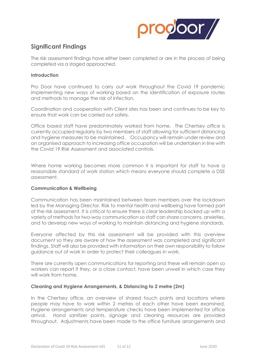

### **Significant Findings**

The risk assessment findings have either been completed or are in the process of being completed via a staged approached.

### **Introduction**

Pro Door have continued to carry out work throughout the Covid 19 pandemic implementing new ways of working based on the identification of exposure routes and methods to manage the risk of infection.

Coordination and cooperation with Client sites has been and continues to be key to ensure that work can be carried out safely.

Office based staff have predominately worked from home. The Chertsey office is currently occupied regularly by two members of staff allowing for sufficient distancing and hygiene measures to be maintained. Occupancy will remain under review and an organised approach to increasing office occupation will be undertaken in line with the Covid 19 Risk Assessment and associated controls.

Where home working becomes more common it is important for staff to have a reasonable standard of work station which means everyone should complete a DSE assessment.

### **Communication & Wellbeing**

Communication has been maintained between team members over the lockdown led by the Managing Director. Risk to mental health and wellbeing have formed part of the risk assessment. It is critical to ensure there is clear leadership backed up with a variety of methods for two-way communication so staff can share concerns, anxieties, and to develop new ways of working to maintain distancing and hygiene standards.

Everyone affected by this risk assessment will be provided with this overview document so they are aware of how the assessment was completed and significant findings. Staff will also be provided with information on their own responsibility to follow guidance out of work in order to protect their colleagues in work.

There are currently open communications for reporting and these will remain open so workers can report if they, or a close contact, have been unwell in which case they will work from home.

### **Cleaning and Hygiene Arrangements, & Distancing to 2 metre (2m)**

In the Chertsey office, an overview of shared touch points and locations where people may have to work within 2 metres of each other have been examined. Hygiene arrangements and temperature checks have been implemented for office arrival. Hand sanitizer points, signage and cleaning resources are provided throughout. Adjustments have been made to the office furniture arrangements and